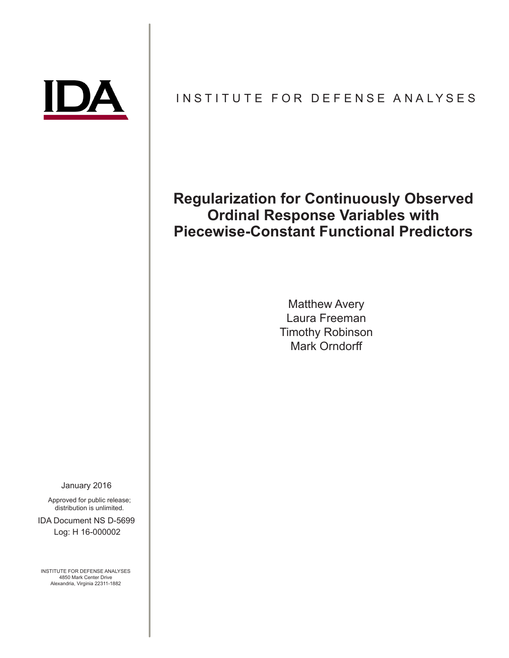

# INSTITUTE FOR DEFENSE ANALYSES

# **Regularization for Continuously Observed Ordinal Response Variables with Piecewise-Constant Functional Predictors**

Matthew Avery Laura Freeman Timothy Robinson Mark Orndorff

January 2016

Approved for public release; distribution is unlimited.

IDA Document NS D-5699 Log: H 16-000002

INSTITUTE FOR DEFENSE ANALYSES 4850 Mark Center Drive Alexandria, Virginia 22311-1882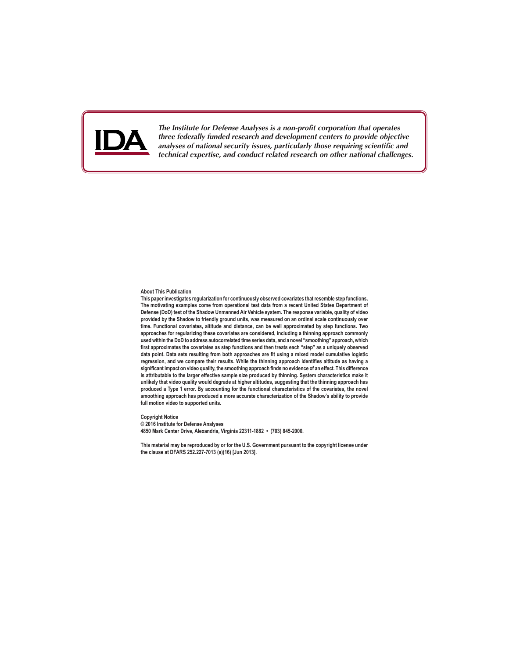

*The Institute for Defense Analyses is a non-profit corporation that operates three federally funded research and development centers to provide objective analyses of national security issues, particularly those requiring scientific and technical expertise, and conduct related research on other national challenges.*

#### **About This Publication**

**This paper investigates regularization for continuously observed covariates that resemble step functions. The motivating examples come from operational test data from a recent United States Department of Defense (DoD) test of the Shadow Unmanned Air Vehicle system. The response variable, quality of video provided by the Shadow to friendly ground units, was measured on an ordinal scale continuously over time. Functional covariates, altitude and distance, can be well approximated by step functions. Two approaches for regularizing these covariates are considered, including a thinning approach commonly used within the DoD to address autocorrelated time series data, and a novel "smoothing" approach, which first approximates the covariates as step functions and then treats each "step" as a uniquely observed data point. Data sets resulting from both approaches are fit using a mixed model cumulative logistic regression, and we compare their results. While the thinning approach identifies altitude as having a significant impact on video quality, the smoothing approach finds no evidence of an effect. This difference is attributable to the larger effective sample size produced by thinning. System characteristics make it unlikely that video quality would degrade at higher altitudes, suggesting that the thinning approach has produced a Type 1 error. By accounting for the functional characteristics of the covariates, the novel smoothing approach has produced a more accurate characterization of the Shadow's ability to provide full motion video to supported units.**

**Copyright Notice © 2016 Institute for Defense Analyses 4850 Mark Center Drive, Alexandria, Virginia 22311-1882 • (703) 845-2000.**

**This material may be reproduced by or for the U.S. Government pursuant to the copyright license under the clause at DFARS 252.227-7013 (a)(16) [Jun 2013].**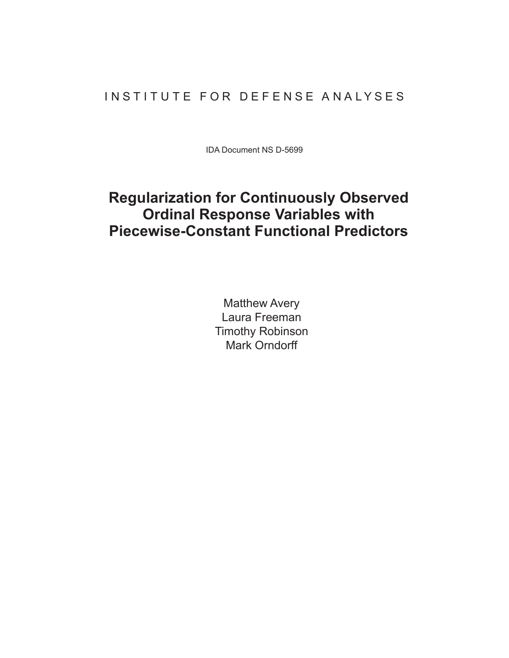# INSTITUTE FOR DEFENSE ANALYSES

IDA Document NS D-5699

# **Regularization for Continuously Observed Ordinal Response Variables with Piecewise-Constant Functional Predictors**

Matthew Avery Laura Freeman Timothy Robinson Mark Orndorff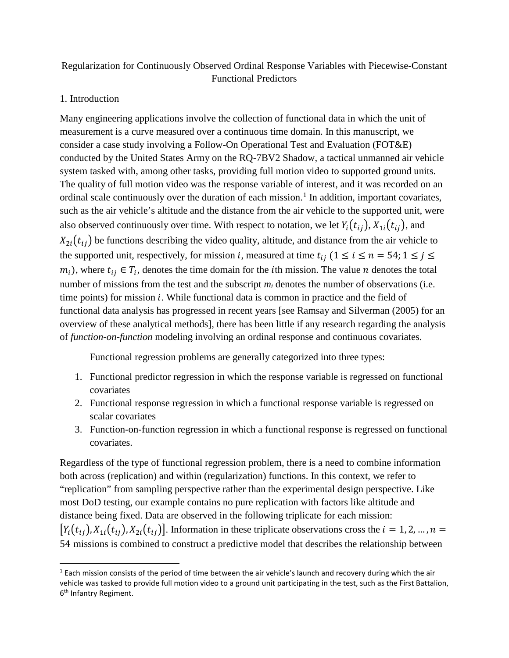# Regularization for Continuously Observed Ordinal Response Variables with Piecewise-Constant Functional Predictors

## 1. Introduction

Many engineering applications involve the collection of functional data in which the unit of measurement is a curve measured over a continuous time domain. In this manuscript, we consider a case study involving a Follow-On Operational Test and Evaluation (FOT&E) conducted by the United States Army on the RQ-7BV2 Shadow, a tactical unmanned air vehicle system tasked with, among other tasks, providing full motion video to supported ground units. The quality of full motion video was the response variable of interest, and it was recorded on an ordinal scale continuously over the duration of each mission.<sup>[1](#page-3-0)</sup> In addition, important covariates, such as the air vehicle's altitude and the distance from the air vehicle to the supported unit, were also observed continuously over time. With respect to notation, we let  $Y_i(t_{ij})$ ,  $X_{1i}(t_{ij})$ , and  $X_{2i}(t_{ii})$  be functions describing the video quality, altitude, and distance from the air vehicle to the supported unit, respectively, for mission *i*, measured at time  $t_{ii}$  ( $1 \le i \le n = 54$ ;  $1 \le j \le n$  $m_i$ ), where  $t_{ii} \in T_i$ , denotes the time domain for the *i*th mission. The value *n* denotes the total number of missions from the test and the subscript  $m_i$  denotes the number of observations (i.e. time points) for mission  $i$ . While functional data is common in practice and the field of functional data analysis has progressed in recent years [see Ramsay and Silverman (2005) for an overview of these analytical methods], there has been little if any research regarding the analysis of *function-on-function* modeling involving an ordinal response and continuous covariates.

Functional regression problems are generally categorized into three types:

- 1. Functional predictor regression in which the response variable is regressed on functional covariates
- 2. Functional response regression in which a functional response variable is regressed on scalar covariates
- 3. Function-on-function regression in which a functional response is regressed on functional covariates.

Regardless of the type of functional regression problem, there is a need to combine information both across (replication) and within (regularization) functions. In this context, we refer to "replication" from sampling perspective rather than the experimental design perspective. Like most DoD testing, our example contains no pure replication with factors like altitude and distance being fixed. Data are observed in the following triplicate for each mission:  $[Y_i(t_{ii}), X_{1i}(t_{ii}), X_{2i}(t_{ii})]$ . Information in these triplicate observations cross the  $i = 1, 2, ..., n =$ 54 missions is combined to construct a predictive model that describes the relationship between

<span id="page-3-0"></span> $1$  Each mission consists of the period of time between the air vehicle's launch and recovery during which the air vehicle was tasked to provide full motion video to a ground unit participating in the test, such as the First Battalion, 6<sup>th</sup> Infantry Regiment.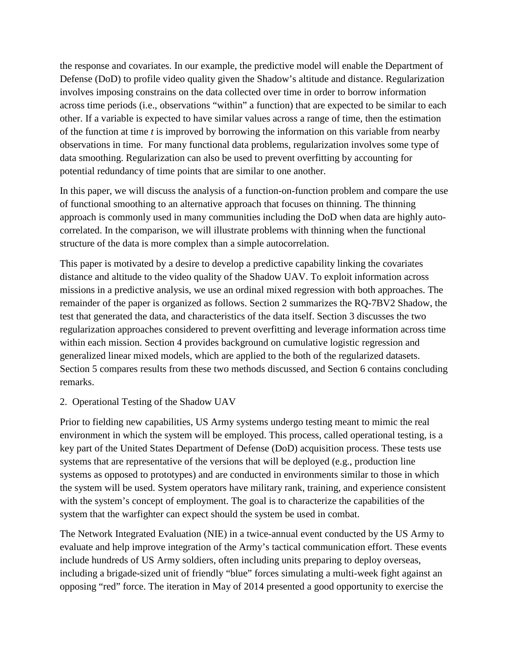the response and covariates. In our example, the predictive model will enable the Department of Defense (DoD) to profile video quality given the Shadow's altitude and distance. Regularization involves imposing constrains on the data collected over time in order to borrow information across time periods (i.e., observations "within" a function) that are expected to be similar to each other. If a variable is expected to have similar values across a range of time, then the estimation of the function at time *t* is improved by borrowing the information on this variable from nearby observations in time. For many functional data problems, regularization involves some type of data smoothing. Regularization can also be used to prevent overfitting by accounting for potential redundancy of time points that are similar to one another.

In this paper, we will discuss the analysis of a function-on-function problem and compare the use of functional smoothing to an alternative approach that focuses on thinning. The thinning approach is commonly used in many communities including the DoD when data are highly autocorrelated. In the comparison, we will illustrate problems with thinning when the functional structure of the data is more complex than a simple autocorrelation.

This paper is motivated by a desire to develop a predictive capability linking the covariates distance and altitude to the video quality of the Shadow UAV. To exploit information across missions in a predictive analysis, we use an ordinal mixed regression with both approaches. The remainder of the paper is organized as follows. Section 2 summarizes the RQ-7BV2 Shadow, the test that generated the data, and characteristics of the data itself. Section 3 discusses the two regularization approaches considered to prevent overfitting and leverage information across time within each mission. Section 4 provides background on cumulative logistic regression and generalized linear mixed models, which are applied to the both of the regularized datasets. Section 5 compares results from these two methods discussed, and Section 6 contains concluding remarks.

## 2. Operational Testing of the Shadow UAV

Prior to fielding new capabilities, US Army systems undergo testing meant to mimic the real environment in which the system will be employed. This process, called operational testing, is a key part of the United States Department of Defense (DoD) acquisition process. These tests use systems that are representative of the versions that will be deployed (e.g., production line systems as opposed to prototypes) and are conducted in environments similar to those in which the system will be used. System operators have military rank, training, and experience consistent with the system's concept of employment. The goal is to characterize the capabilities of the system that the warfighter can expect should the system be used in combat.

The Network Integrated Evaluation (NIE) in a twice-annual event conducted by the US Army to evaluate and help improve integration of the Army's tactical communication effort. These events include hundreds of US Army soldiers, often including units preparing to deploy overseas, including a brigade-sized unit of friendly "blue" forces simulating a multi-week fight against an opposing "red" force. The iteration in May of 2014 presented a good opportunity to exercise the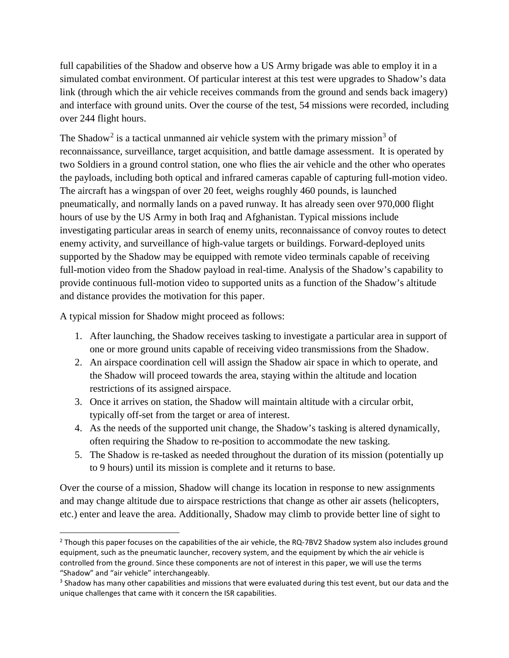full capabilities of the Shadow and observe how a US Army brigade was able to employ it in a simulated combat environment. Of particular interest at this test were upgrades to Shadow's data link (through which the air vehicle receives commands from the ground and sends back imagery) and interface with ground units. Over the course of the test, 54 missions were recorded, including over 244 flight hours.

The Shadow<sup>[2](#page-5-0)</sup> is a tactical unmanned air vehicle system with the primary mission<sup>[3](#page-5-1)</sup> of reconnaissance, surveillance, target acquisition, and battle damage assessment. It is operated by two Soldiers in a ground control station, one who flies the air vehicle and the other who operates the payloads, including both optical and infrared cameras capable of capturing full-motion video. The aircraft has a wingspan of over 20 feet, weighs roughly 460 pounds, is launched pneumatically, and normally lands on a paved runway. It has already seen over 970,000 flight hours of use by the US Army in both Iraq and Afghanistan. Typical missions include investigating particular areas in search of enemy units, reconnaissance of convoy routes to detect enemy activity, and surveillance of high-value targets or buildings. Forward-deployed units supported by the Shadow may be equipped with remote video terminals capable of receiving full-motion video from the Shadow payload in real-time. Analysis of the Shadow's capability to provide continuous full-motion video to supported units as a function of the Shadow's altitude and distance provides the motivation for this paper.

A typical mission for Shadow might proceed as follows:

- 1. After launching, the Shadow receives tasking to investigate a particular area in support of one or more ground units capable of receiving video transmissions from the Shadow.
- 2. An airspace coordination cell will assign the Shadow air space in which to operate, and the Shadow will proceed towards the area, staying within the altitude and location restrictions of its assigned airspace.
- 3. Once it arrives on station, the Shadow will maintain altitude with a circular orbit, typically off-set from the target or area of interest.
- 4. As the needs of the supported unit change, the Shadow's tasking is altered dynamically, often requiring the Shadow to re-position to accommodate the new tasking.
- 5. The Shadow is re-tasked as needed throughout the duration of its mission (potentially up to 9 hours) until its mission is complete and it returns to base.

Over the course of a mission, Shadow will change its location in response to new assignments and may change altitude due to airspace restrictions that change as other air assets (helicopters, etc.) enter and leave the area. Additionally, Shadow may climb to provide better line of sight to

<span id="page-5-0"></span><sup>&</sup>lt;sup>2</sup> Though this paper focuses on the capabilities of the air vehicle, the RQ-7BV2 Shadow system also includes ground equipment, such as the pneumatic launcher, recovery system, and the equipment by which the air vehicle is controlled from the ground. Since these components are not of interest in this paper, we will use the terms "Shadow" and "air vehicle" interchangeably.

<span id="page-5-1"></span><sup>&</sup>lt;sup>3</sup> Shadow has many other capabilities and missions that were evaluated during this test event, but our data and the unique challenges that came with it concern the ISR capabilities.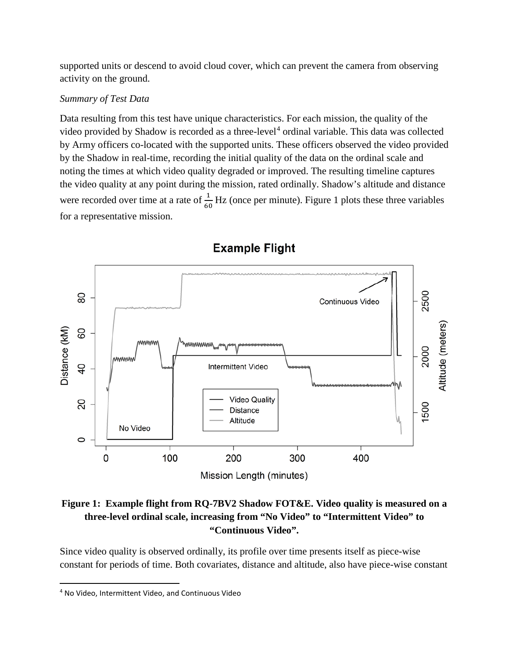supported units or descend to avoid cloud cover, which can prevent the camera from observing activity on the ground.

#### *Summary of Test Data*

Data resulting from this test have unique characteristics. For each mission, the quality of the video provided by Shadow is recorded as a three-level<sup>[4](#page-6-0)</sup> ordinal variable. This data was collected by Army officers co-located with the supported units. These officers observed the video provided by the Shadow in real-time, recording the initial quality of the data on the ordinal scale and noting the times at which video quality degraded or improved. The resulting timeline captures the video quality at any point during the mission, rated ordinally. Shadow's altitude and distance were recorded over time at a rate of  $\frac{1}{60}$  Hz (once per minute). Figure 1 plots these three variables for a representative mission.



# **Example Flight**

**Figure 1: Example flight from RQ-7BV2 Shadow FOT&E. Video quality is measured on a three-level ordinal scale, increasing from "No Video" to "Intermittent Video" to "Continuous Video".**

Since video quality is observed ordinally, its profile over time presents itself as piece-wise constant for periods of time. Both covariates, distance and altitude, also have piece-wise constant

<span id="page-6-0"></span> <sup>4</sup> No Video, Intermittent Video, and Continuous Video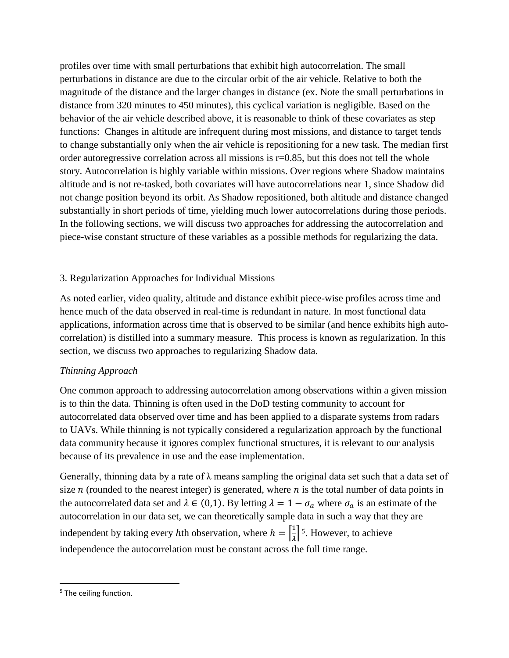profiles over time with small perturbations that exhibit high autocorrelation. The small perturbations in distance are due to the circular orbit of the air vehicle. Relative to both the magnitude of the distance and the larger changes in distance (ex. Note the small perturbations in distance from 320 minutes to 450 minutes), this cyclical variation is negligible. Based on the behavior of the air vehicle described above, it is reasonable to think of these covariates as step functions: Changes in altitude are infrequent during most missions, and distance to target tends to change substantially only when the air vehicle is repositioning for a new task. The median first order autoregressive correlation across all missions is  $r=0.85$ , but this does not tell the whole story. Autocorrelation is highly variable within missions. Over regions where Shadow maintains altitude and is not re-tasked, both covariates will have autocorrelations near 1, since Shadow did not change position beyond its orbit. As Shadow repositioned, both altitude and distance changed substantially in short periods of time, yielding much lower autocorrelations during those periods. In the following sections, we will discuss two approaches for addressing the autocorrelation and piece-wise constant structure of these variables as a possible methods for regularizing the data.

## 3. Regularization Approaches for Individual Missions

As noted earlier, video quality, altitude and distance exhibit piece-wise profiles across time and hence much of the data observed in real-time is redundant in nature. In most functional data applications, information across time that is observed to be similar (and hence exhibits high autocorrelation) is distilled into a summary measure. This process is known as regularization. In this section, we discuss two approaches to regularizing Shadow data.

## *Thinning Approach*

One common approach to addressing autocorrelation among observations within a given mission is to thin the data. Thinning is often used in the DoD testing community to account for autocorrelated data observed over time and has been applied to a disparate systems from radars to UAVs. While thinning is not typically considered a regularization approach by the functional data community because it ignores complex functional structures, it is relevant to our analysis because of its prevalence in use and the ease implementation.

Generally, thinning data by a rate of  $\lambda$  means sampling the original data set such that a data set of size  $n$  (rounded to the nearest integer) is generated, where  $n$  is the total number of data points in the autocorrelated data set and  $\lambda \in (0,1)$ . By letting  $\lambda = 1 - \sigma_a$  where  $\sigma_a$  is an estimate of the autocorrelation in our data set, we can theoretically sample data in such a way that they are independent by taking every hth observation, where  $h = \frac{1}{\lambda}$  $\frac{1}{\lambda}$  <sup>5</sup>. However, to achieve independence the autocorrelation must be constant across the full time range.

<sup>&</sup>lt;sup>5</sup> The ceiling function.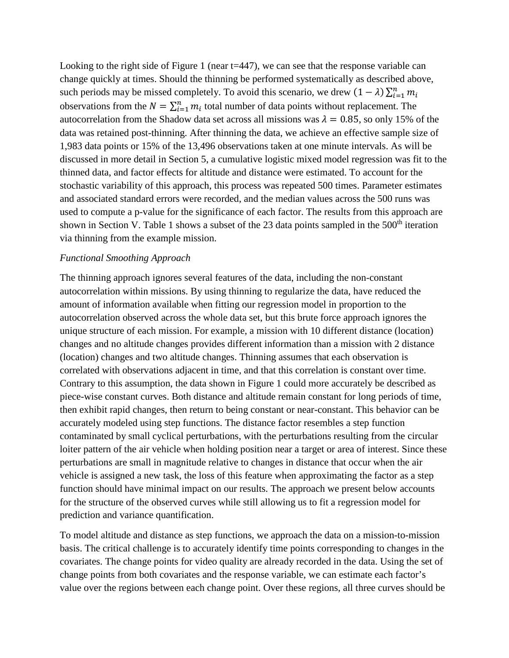Looking to the right side of Figure 1 (near t=447), we can see that the response variable can change quickly at times. Should the thinning be performed systematically as described above, such periods may be missed completely. To avoid this scenario, we drew  $(1 - \lambda) \sum_{i=1}^{n} m_i$ observations from the  $N = \sum_{i=1}^{n} m_i$  total number of data points without replacement. The autocorrelation from the Shadow data set across all missions was  $\lambda = 0.85$ , so only 15% of the data was retained post-thinning. After thinning the data, we achieve an effective sample size of 1,983 data points or 15% of the 13,496 observations taken at one minute intervals. As will be discussed in more detail in Section 5, a cumulative logistic mixed model regression was fit to the thinned data, and factor effects for altitude and distance were estimated. To account for the stochastic variability of this approach, this process was repeated 500 times. Parameter estimates and associated standard errors were recorded, and the median values across the 500 runs was used to compute a p-value for the significance of each factor. The results from this approach are shown in Section V. Table 1 shows a subset of the 23 data points sampled in the  $500<sup>th</sup>$  iteration via thinning from the example mission.

#### *Functional Smoothing Approach*

The thinning approach ignores several features of the data, including the non-constant autocorrelation within missions. By using thinning to regularize the data, have reduced the amount of information available when fitting our regression model in proportion to the autocorrelation observed across the whole data set, but this brute force approach ignores the unique structure of each mission. For example, a mission with 10 different distance (location) changes and no altitude changes provides different information than a mission with 2 distance (location) changes and two altitude changes. Thinning assumes that each observation is correlated with observations adjacent in time, and that this correlation is constant over time. Contrary to this assumption, the data shown in Figure 1 could more accurately be described as piece-wise constant curves. Both distance and altitude remain constant for long periods of time, then exhibit rapid changes, then return to being constant or near-constant. This behavior can be accurately modeled using step functions. The distance factor resembles a step function contaminated by small cyclical perturbations, with the perturbations resulting from the circular loiter pattern of the air vehicle when holding position near a target or area of interest. Since these perturbations are small in magnitude relative to changes in distance that occur when the air vehicle is assigned a new task, the loss of this feature when approximating the factor as a step function should have minimal impact on our results. The approach we present below accounts for the structure of the observed curves while still allowing us to fit a regression model for prediction and variance quantification.

To model altitude and distance as step functions, we approach the data on a mission-to-mission basis. The critical challenge is to accurately identify time points corresponding to changes in the covariates. The change points for video quality are already recorded in the data. Using the set of change points from both covariates and the response variable, we can estimate each factor's value over the regions between each change point. Over these regions, all three curves should be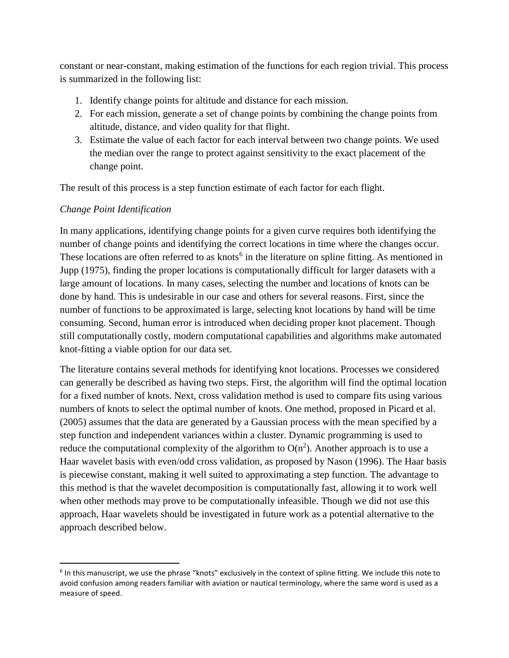constant or near-constant, making estimation of the functions for each region trivial. This process is summarized in the following list:

- 1. Identify change points for altitude and distance for each mission.
- 2. For each mission, generate a set of change points by combining the change points from altitude, distance, and video quality for that flight.
- 3. Estimate the value of each factor for each interval between two change points. We used the median over the range to protect against sensitivity to the exact placement of the change point.

The result of this process is a step function estimate of each factor for each flight.

# *Change Point Identification*

In many applications, identifying change points for a given curve requires both identifying the number of change points and identifying the correct locations in time where the changes occur. These locations are often referred to as knots<sup> $6$ </sup> in the literature on spline fitting. As mentioned in Jupp (1975), finding the proper locations is computationally difficult for larger datasets with a large amount of locations. In many cases, selecting the number and locations of knots can be done by hand. This is undesirable in our case and others for several reasons. First, since the number of functions to be approximated is large, selecting knot locations by hand will be time consuming. Second, human error is introduced when deciding proper knot placement. Though still computationally costly, modern computational capabilities and algorithms make automated knot-fitting a viable option for our data set.

The literature contains several methods for identifying knot locations. Processes we considered can generally be described as having two steps. First, the algorithm will find the optimal location for a fixed number of knots. Next, cross validation method is used to compare fits using various numbers of knots to select the optimal number of knots. One method, proposed in Picard et al. (2005) assumes that the data are generated by a Gaussian process with the mean specified by a step function and independent variances within a cluster. Dynamic programming is used to reduce the computational complexity of the algorithm to  $O(n^2)$ . Another approach is to use a Haar wavelet basis with even/odd cross validation, as proposed by Nason (1996). The Haar basis is piecewise constant, making it well suited to approximating a step function. The advantage to this method is that the wavelet decomposition is computationally fast, allowing it to work well when other methods may prove to be computationally infeasible. Though we did not use this approach, Haar wavelets should be investigated in future work as a potential alternative to the approach described below.

<span id="page-9-0"></span> $6$  In this manuscript, we use the phrase "knots" exclusively in the context of spline fitting. We include this note to avoid confusion among readers familiar with aviation or nautical terminology, where the same word is used as a measure of speed.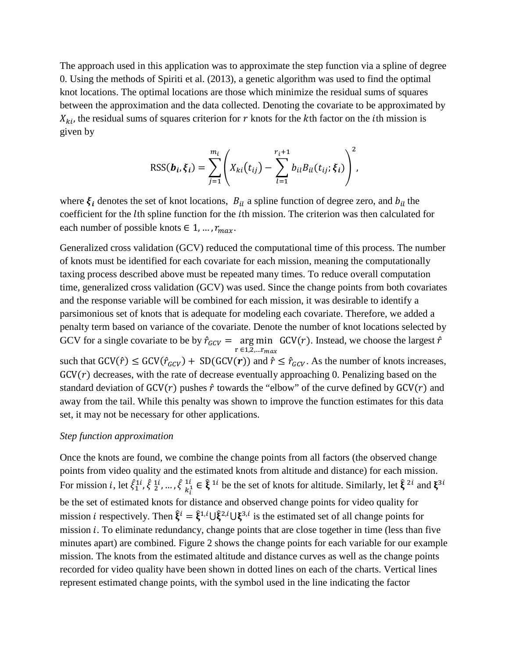The approach used in this application was to approximate the step function via a spline of degree 0. Using the methods of Spiriti et al. (2013), a genetic algorithm was used to find the optimal knot locations. The optimal locations are those which minimize the residual sums of squares between the approximation and the data collected. Denoting the covariate to be approximated by  $X_{ki}$ , the residual sums of squares criterion for r knots for the kth factor on the *i*th mission is given by

$$
RSS(\boldsymbol{b}_{i}, \xi_{i}) = \sum_{j=1}^{m_{i}} \left( X_{ki}(t_{ij}) - \sum_{l=1}^{r_{i}+1} b_{il} B_{il}(t_{ij}; \xi_{i}) \right)^{2},
$$

where  $\xi_i$  denotes the set of knot locations,  $B_{il}$  a spline function of degree zero, and  $b_{il}$  the coefficient for the *l*th spline function for the *i*th mission. The criterion was then calculated for each number of possible knots  $\in$  1, ...,  $r_{max}$ .

Generalized cross validation (GCV) reduced the computational time of this process. The number of knots must be identified for each covariate for each mission, meaning the computationally taxing process described above must be repeated many times. To reduce overall computation time, generalized cross validation (GCV) was used. Since the change points from both covariates and the response variable will be combined for each mission, it was desirable to identify a parsimonious set of knots that is adequate for modeling each covariate. Therefore, we added a penalty term based on variance of the covariate. Denote the number of knot locations selected by GCV for a single covariate to be by  $\hat{r}_{GCV} = \arg \min_{r \in 1, 2, \dots r_{max}}$  GCV(*r*). Instead, we choose the largest  $\hat{r}$ such that  $GCV(\hat{r}) \leq GCV(\hat{r}_{GCV}) + SD(GCV(r))$  and  $\hat{r} \leq \hat{r}_{GCV}$ . As the number of knots increases,  $GCV(r)$  decreases, with the rate of decrease eventually approaching 0. Penalizing based on the standard deviation of  $GCV(r)$  pushes  $\hat{r}$  towards the "elbow" of the curve defined by  $GCV(r)$  and away from the tail. While this penalty was shown to improve the function estimates for this data set, it may not be necessary for other applications.

#### *Step function approximation*

Once the knots are found, we combine the change points from all factors (the observed change points from video quality and the estimated knots from altitude and distance) for each mission. For mission *i*, let  $\xi_1^{i_1}$ ,  $\xi_2^{i_1}$ , ...,  $\xi_{k_i^1}^{i_1} \in \xi^{i_i}$  be the set of knots for altitude. Similarly, let  $\xi^{2i}$  and  $\xi^{3i}$ be the set of estimated knots for distance and observed change points for video quality for mission *i* respectively. Then  $\xi^l = \xi^{1,l} \cup \xi^{2,l} \cup \xi^{3,l}$  is the estimated set of all change points for mission  $i$ . To eliminate redundancy, change points that are close together in time (less than five minutes apart) are combined. Figure 2 shows the change points for each variable for our example mission. The knots from the estimated altitude and distance curves as well as the change points recorded for video quality have been shown in dotted lines on each of the charts. Vertical lines represent estimated change points, with the symbol used in the line indicating the factor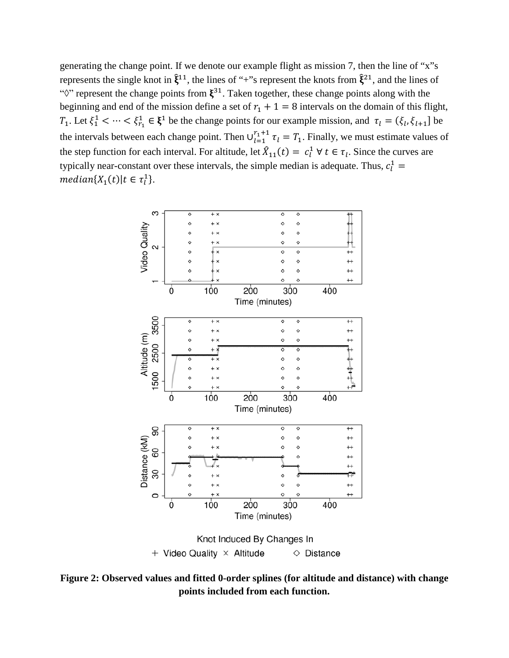generating the change point. If we denote our example flight as mission 7, then the line of "x"s represents the single knot in  $\hat{\xi}^{11}$ , the lines of "+"s represent the knots from  $\hat{\xi}^{21}$ , and the lines of " $\Diamond$ " represent the change points from  $\xi^{31}$ . Taken together, these change points along with the beginning and end of the mission define a set of  $r_1 + 1 = 8$  intervals on the domain of this flight,  $T_1$ . Let  $\xi_1^1 < \cdots < \xi_{r_1}^1 \in \xi^1$  be the change points for our example mission, and  $\tau_l = (\xi_l, \xi_{l+1}]$  be the intervals between each change point. Then  $\bigcup_{l=1}^{r_1+1} \tau_l = T_1$ . Finally, we must estimate values of the step function for each interval. For altitude, let  $\hat{X}_{11}(t) = c_l^1 \forall t \in \tau_l$ . Since the curves are typically near-constant over these intervals, the simple median is adequate. Thus,  $c_l^1$  =  ${median{X_1(t)|t \in \tau_l^1}.$ 



**Figure 2: Observed values and fitted 0-order splines (for altitude and distance) with change points included from each function.**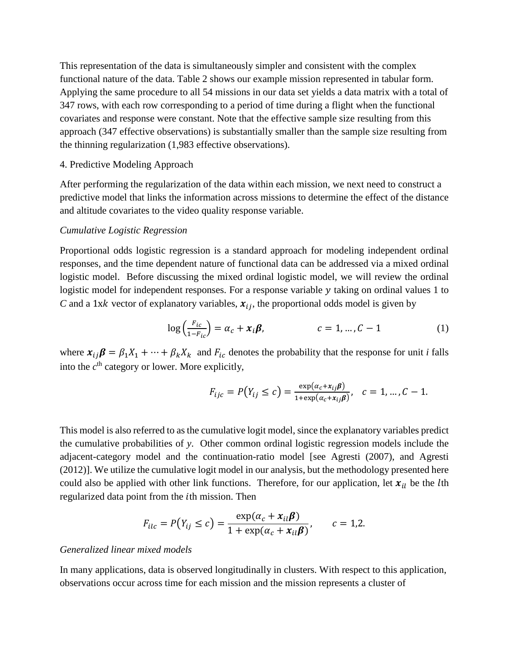This representation of the data is simultaneously simpler and consistent with the complex functional nature of the data. Table 2 shows our example mission represented in tabular form. Applying the same procedure to all 54 missions in our data set yields a data matrix with a total of 347 rows, with each row corresponding to a period of time during a flight when the functional covariates and response were constant. Note that the effective sample size resulting from this approach (347 effective observations) is substantially smaller than the sample size resulting from the thinning regularization (1,983 effective observations).

#### 4. Predictive Modeling Approach

After performing the regularization of the data within each mission, we next need to construct a predictive model that links the information across missions to determine the effect of the distance and altitude covariates to the video quality response variable.

#### *Cumulative Logistic Regression*

Proportional odds logistic regression is a standard approach for modeling independent ordinal responses, and the time dependent nature of functional data can be addressed via a mixed ordinal logistic model. Before discussing the mixed ordinal logistic model, we will review the ordinal logistic model for independent responses. For a response variable y taking on ordinal values 1 to *C* and a 1xk vector of explanatory variables,  $x_{ij}$ , the proportional odds model is given by

$$
\log\left(\frac{F_{ic}}{1-F_{ic}}\right) = \alpha_c + x_i \beta, \qquad c = 1, ..., C-1 \qquad (1)
$$

where  $x_{ij}\beta = \beta_1 X_1 + \cdots + \beta_k X_k$  and  $F_{ic}$  denotes the probability that the response for unit *i* falls into the  $c<sup>th</sup>$  category or lower. More explicitly,

$$
F_{ijc} = P(Y_{ij} \le c) = \frac{\exp(\alpha_c + x_{ij}\beta)}{1 + \exp(\alpha_c + x_{ij}\beta)}, \quad c = 1, \dots, C - 1.
$$

This model is also referred to as the cumulative logit model, since the explanatory variables predict the cumulative probabilities of *y*. Other common ordinal logistic regression models include the adjacent-category model and the continuation-ratio model [see Agresti (2007), and Agresti (2012)]. We utilize the cumulative logit model in our analysis, but the methodology presented here could also be applied with other link functions. Therefore, for our application, let  $x_{il}$  be the lth regularized data point from the *i*th mission. Then

$$
F_{ilc} = P(Y_{ij} \leq c) = \frac{\exp(\alpha_c + x_{il}\beta)}{1 + \exp(\alpha_c + x_{il}\beta)}, \qquad c = 1,2.
$$

#### *Generalized linear mixed models*

In many applications, data is observed longitudinally in clusters. With respect to this application, observations occur across time for each mission and the mission represents a cluster of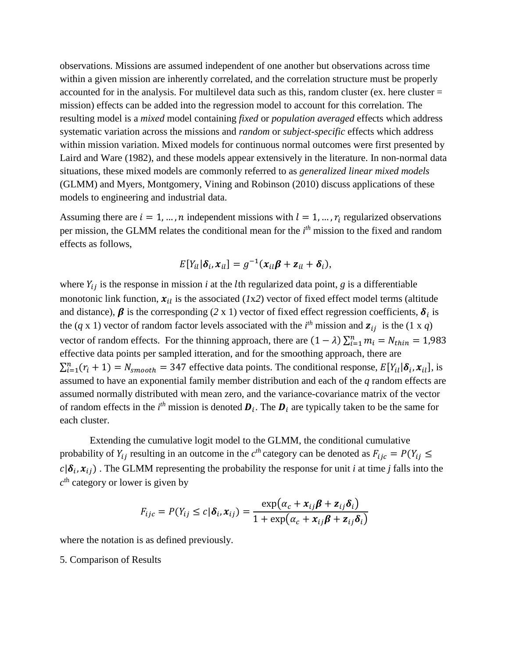observations. Missions are assumed independent of one another but observations across time within a given mission are inherently correlated, and the correlation structure must be properly accounted for in the analysis. For multilevel data such as this, random cluster (ex. here cluster  $=$ mission) effects can be added into the regression model to account for this correlation. The resulting model is a *mixed* model containing *fixed* or *population averaged* effects which address systematic variation across the missions and *random* or *subject-specific* effects which address within mission variation. Mixed models for continuous normal outcomes were first presented by Laird and Ware (1982), and these models appear extensively in the literature. In non-normal data situations, these mixed models are commonly referred to as *generalized linear mixed models* (GLMM) and Myers, Montgomery, Vining and Robinson (2010) discuss applications of these models to engineering and industrial data.

Assuming there are  $i = 1, ..., n$  independent missions with  $l = 1, ..., r_i$  regularized observations per mission, the GLMM relates the conditional mean for the *i th* mission to the fixed and random effects as follows,

$$
E[Y_{il}|\boldsymbol{\delta}_i,\boldsymbol{x}_{il}]=g^{-1}(\boldsymbol{x}_{il}\boldsymbol{\beta}+\boldsymbol{z}_{il}+\boldsymbol{\delta}_i),
$$

where  $Y_{ij}$  is the response in mission *i* at the *l*th regularized data point, *g* is a differentiable monotonic link function,  $x_{il}$  is the associated (*1x2*) vector of fixed effect model terms (altitude and distance),  $\beta$  is the corresponding (2 x 1) vector of fixed effect regression coefficients,  $\delta_i$  is the (*q* x 1) vector of random factor levels associated with the *i*<sup>th</sup> mission and  $z_{ij}$  is the (1 x *q*) vector of random effects. For the thinning approach, there are  $(1 - \lambda) \sum_{i=1}^{n} m_i = N_{thin} = 1,983$ effective data points per sampled itteration, and for the smoothing approach, there are  $\sum_{i=1}^{n} (r_i + 1) = N_{smooth} = 347$  effective data points. The conditional response,  $E[Y_{il} | \delta_i, x_{il}]$ , is assumed to have an exponential family member distribution and each of the *q* random effects are assumed normally distributed with mean zero, and the variance-covariance matrix of the vector of random effects in the  $i^{th}$  mission is denoted  $\boldsymbol{D}_i$ . The  $\boldsymbol{D}_i$  are typically taken to be the same for each cluster.

Extending the cumulative logit model to the GLMM, the conditional cumulative probability of  $Y_{ij}$  resulting in an outcome in the  $c^{th}$  category can be denoted as  $F_{ijc} = P(Y_{ij} \leq$  $c | \delta_i, x_{ij}$ . The GLMM representing the probability the response for unit *i* at time *j* falls into the  $c<sup>th</sup>$  category or lower is given by

$$
F_{ijc} = P(Y_{ij} \le c | \boldsymbol{\delta}_i, \boldsymbol{x}_{ij}) = \frac{\exp(\alpha_c + \boldsymbol{x}_{ij}\boldsymbol{\beta} + \boldsymbol{z}_{ij}\boldsymbol{\delta}_i)}{1 + \exp(\alpha_c + \boldsymbol{x}_{ij}\boldsymbol{\beta} + \boldsymbol{z}_{ij}\boldsymbol{\delta}_i)}
$$

where the notation is as defined previously.

5. Comparison of Results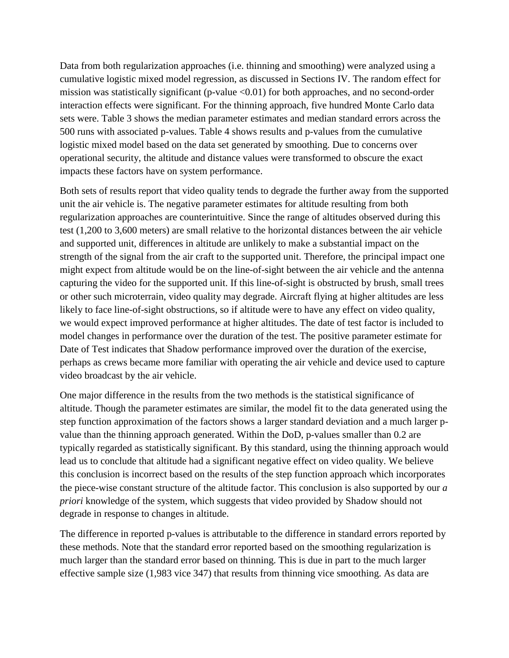Data from both regularization approaches (i.e. thinning and smoothing) were analyzed using a cumulative logistic mixed model regression, as discussed in Sections IV. The random effect for mission was statistically significant (p-value <0.01) for both approaches, and no second-order interaction effects were significant. For the thinning approach, five hundred Monte Carlo data sets were. Table 3 shows the median parameter estimates and median standard errors across the 500 runs with associated p-values. Table 4 shows results and p-values from the cumulative logistic mixed model based on the data set generated by smoothing. Due to concerns over operational security, the altitude and distance values were transformed to obscure the exact impacts these factors have on system performance.

Both sets of results report that video quality tends to degrade the further away from the supported unit the air vehicle is. The negative parameter estimates for altitude resulting from both regularization approaches are counterintuitive. Since the range of altitudes observed during this test (1,200 to 3,600 meters) are small relative to the horizontal distances between the air vehicle and supported unit, differences in altitude are unlikely to make a substantial impact on the strength of the signal from the air craft to the supported unit. Therefore, the principal impact one might expect from altitude would be on the line-of-sight between the air vehicle and the antenna capturing the video for the supported unit. If this line-of-sight is obstructed by brush, small trees or other such microterrain, video quality may degrade. Aircraft flying at higher altitudes are less likely to face line-of-sight obstructions, so if altitude were to have any effect on video quality, we would expect improved performance at higher altitudes. The date of test factor is included to model changes in performance over the duration of the test. The positive parameter estimate for Date of Test indicates that Shadow performance improved over the duration of the exercise, perhaps as crews became more familiar with operating the air vehicle and device used to capture video broadcast by the air vehicle.

One major difference in the results from the two methods is the statistical significance of altitude. Though the parameter estimates are similar, the model fit to the data generated using the step function approximation of the factors shows a larger standard deviation and a much larger pvalue than the thinning approach generated. Within the DoD, p-values smaller than 0.2 are typically regarded as statistically significant. By this standard, using the thinning approach would lead us to conclude that altitude had a significant negative effect on video quality. We believe this conclusion is incorrect based on the results of the step function approach which incorporates the piece-wise constant structure of the altitude factor. This conclusion is also supported by our *a priori* knowledge of the system, which suggests that video provided by Shadow should not degrade in response to changes in altitude.

The difference in reported p-values is attributable to the difference in standard errors reported by these methods. Note that the standard error reported based on the smoothing regularization is much larger than the standard error based on thinning. This is due in part to the much larger effective sample size (1,983 vice 347) that results from thinning vice smoothing. As data are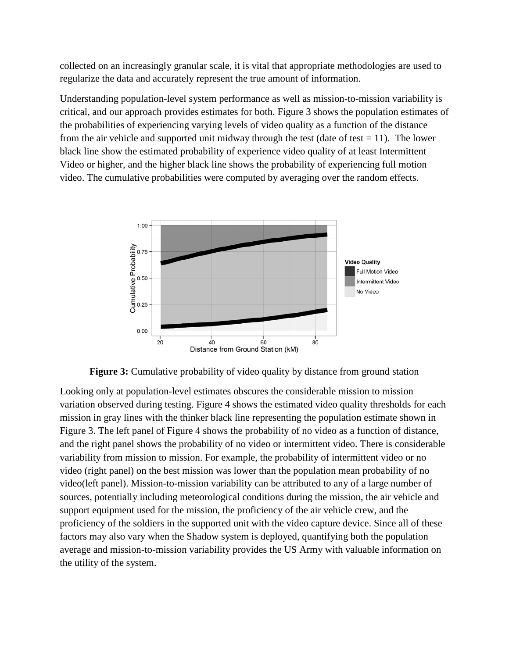collected on an increasingly granular scale, it is vital that appropriate methodologies are used to regularize the data and accurately represent the true amount of information.

Understanding population-level system performance as well as mission-to-mission variability is critical, and our approach provides estimates for both. Figure 3 shows the population estimates of the probabilities of experiencing varying levels of video quality as a function of the distance from the air vehicle and supported unit midway through the test (date of test  $= 11$ ). The lower black line show the estimated probability of experience video quality of at least Intermittent Video or higher, and the higher black line shows the probability of experiencing full motion video. The cumulative probabilities were computed by averaging over the random effects.



**Figure 3:** Cumulative probability of video quality by distance from ground station

Looking only at population-level estimates obscures the considerable mission to mission variation observed during testing. Figure 4 shows the estimated video quality thresholds for each mission in gray lines with the thinker black line representing the population estimate shown in Figure 3. The left panel of Figure 4 shows the probability of no video as a function of distance, and the right panel shows the probability of no video or intermittent video. There is considerable variability from mission to mission. For example, the probability of intermittent video or no video (right panel) on the best mission was lower than the population mean probability of no video(left panel). Mission-to-mission variability can be attributed to any of a large number of sources, potentially including meteorological conditions during the mission, the air vehicle and support equipment used for the mission, the proficiency of the air vehicle crew, and the proficiency of the soldiers in the supported unit with the video capture device. Since all of these factors may also vary when the Shadow system is deployed, quantifying both the population average and mission-to-mission variability provides the US Army with valuable information on the utility of the system.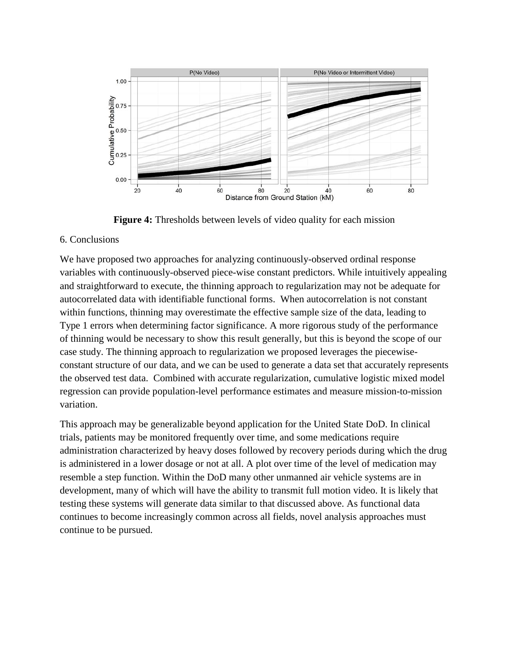

**Figure 4:** Thresholds between levels of video quality for each mission

## 6. Conclusions

We have proposed two approaches for analyzing continuously-observed ordinal response variables with continuously-observed piece-wise constant predictors. While intuitively appealing and straightforward to execute, the thinning approach to regularization may not be adequate for autocorrelated data with identifiable functional forms. When autocorrelation is not constant within functions, thinning may overestimate the effective sample size of the data, leading to Type 1 errors when determining factor significance. A more rigorous study of the performance of thinning would be necessary to show this result generally, but this is beyond the scope of our case study. The thinning approach to regularization we proposed leverages the piecewiseconstant structure of our data, and we can be used to generate a data set that accurately represents the observed test data. Combined with accurate regularization, cumulative logistic mixed model regression can provide population-level performance estimates and measure mission-to-mission variation.

This approach may be generalizable beyond application for the United State DoD. In clinical trials, patients may be monitored frequently over time, and some medications require administration characterized by heavy doses followed by recovery periods during which the drug is administered in a lower dosage or not at all. A plot over time of the level of medication may resemble a step function. Within the DoD many other unmanned air vehicle systems are in development, many of which will have the ability to transmit full motion video. It is likely that testing these systems will generate data similar to that discussed above. As functional data continues to become increasingly common across all fields, novel analysis approaches must continue to be pursued.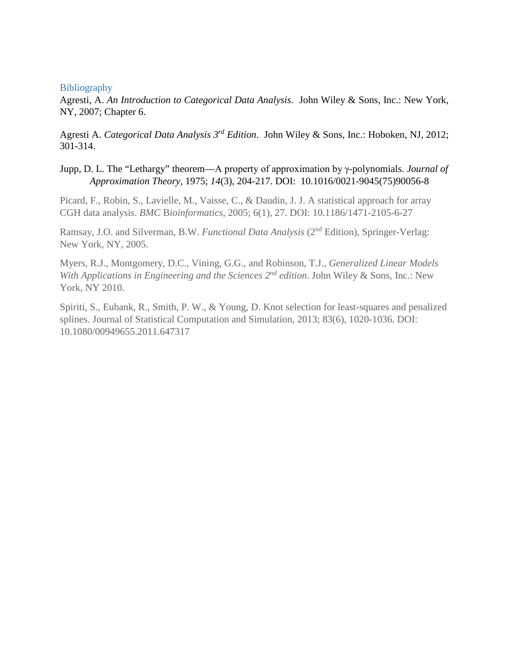#### **Bibliography**

Agresti, A. *An Introduction to Categorical Data Analysis*. John Wiley & Sons, Inc.: New York, NY, 2007; Chapter 6.

Agresti A. *Categorical Data Analysis 3rd Edition*. John Wiley & Sons, Inc.: Hoboken, NJ, 2012; 301-314.

Jupp, D. L. The "Lethargy" theorem—A property of approximation by γ-polynomials. *Journal of Approximation Theory,* 1975; *14*(3), 204-217. DOI: 10.1016/0021-9045(75)90056-8

Picard, F., Robin, S., Lavielle, M., Vaisse, C., & Daudin, J. J. A statistical approach for array CGH data analysis. *BMC* B*ioinformatics*, 2005; 6(1), 27. DOI: 10.1186/1471-2105-6-27

Ramsay, J.O. and Silverman, B.W. *Functional Data Analysis* (2nd Edition), Springer-Verlag: New York, NY, 2005.

Myers, R.J., Montgomery, D.C., Vining, G.G., and Robinson, T.J., *Generalized Linear Models With Applications in Engineering and the Sciences 2nd edition*. John Wiley & Sons, Inc.: New York, NY 2010.

Spiriti, S., Eubank, R., Smith, P. W., & Young, D. Knot selection for least-squares and penalized splines. Journal of Statistical Computation and Simulation, 2013; 83(6), 1020-1036. DOI: 10.1080/00949655.2011.647317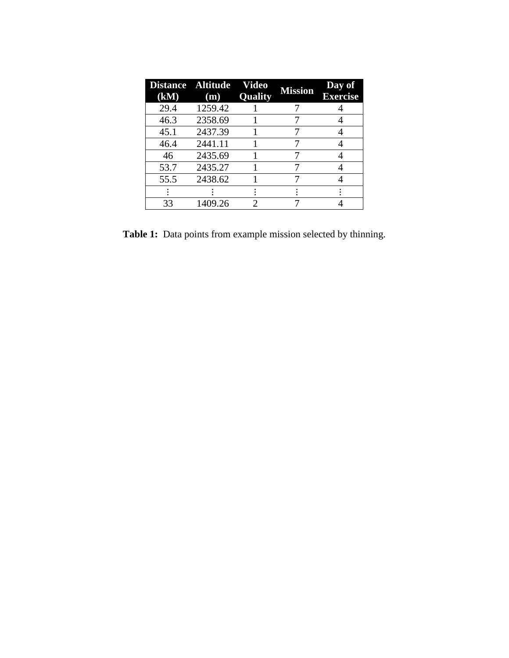| Distance Altitude<br>(kM) | (m)     | Video<br>Quality | <b>Mission</b> | Day of<br><b>Exercise</b> |
|---------------------------|---------|------------------|----------------|---------------------------|
| 29.4                      | 1259.42 |                  |                |                           |
| 46.3                      | 2358.69 |                  |                |                           |
| 45.1                      | 2437.39 |                  |                |                           |
| 46.4                      | 2441.11 |                  |                |                           |
| 46                        | 2435.69 |                  |                |                           |
| 53.7                      | 2435.27 |                  |                |                           |
| 55.5                      | 2438.62 |                  |                |                           |
|                           |         |                  |                |                           |
| 33                        | 1409.26 | 2.               |                |                           |

**Table 1:** Data points from example mission selected by thinning.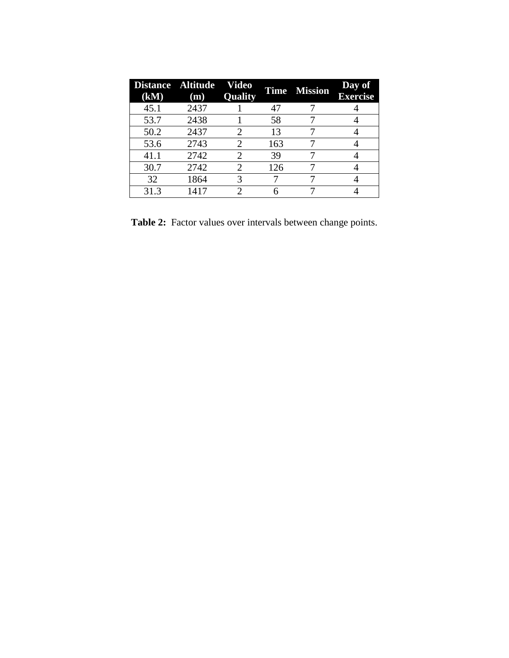| (kM) | Distance Altitude Video<br>(m) | <b>Quality</b> |     | <b>Time Mission</b> | Day of<br><b>Exercise</b> |
|------|--------------------------------|----------------|-----|---------------------|---------------------------|
| 45.1 | 2437                           |                | 47  |                     |                           |
| 53.7 | 2438                           |                | 58  |                     |                           |
| 50.2 | 2437                           |                | 13  |                     |                           |
| 53.6 | 2743                           | 2              | 163 |                     |                           |
| 41.1 | 2742                           |                | 39  |                     |                           |
| 30.7 | 2742                           |                | 126 |                     |                           |
| 32   | 1864                           | 3              |     |                     |                           |
| 31.3 | 1417                           |                |     |                     |                           |

**Table 2:** Factor values over intervals between change points.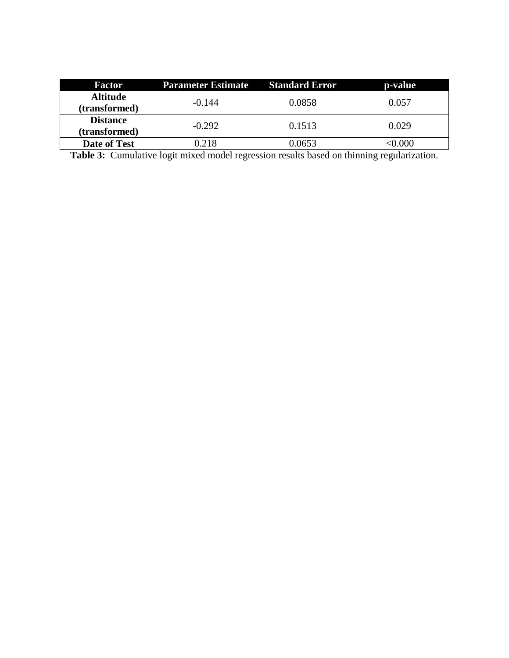| <b>Factor</b>       | <b>Parameter Estimate</b> | <b>Standard Error</b> | p-value |
|---------------------|---------------------------|-----------------------|---------|
| <b>Altitude</b>     | $-0.144$                  | 0.0858                | 0.057   |
| (transformed)       |                           |                       |         |
| <b>Distance</b>     | $-0.292$                  | 0.1513                | 0.029   |
| (transformed)       |                           |                       |         |
| <b>Date of Test</b> | $\degree$ 218             | 0.0653                | 0.000   |

**Table 3:** Cumulative logit mixed model regression results based on thinning regularization.